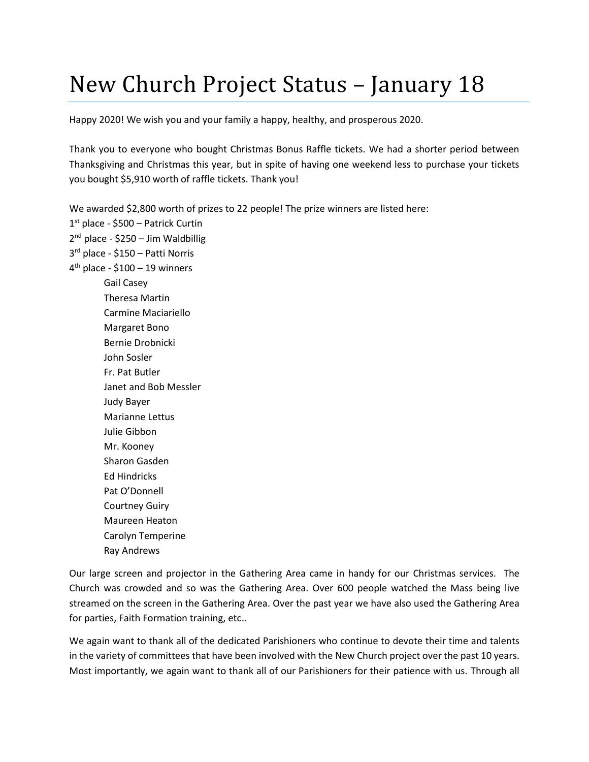## New Church Project Status – January 18

Happy 2020! We wish you and your family a happy, healthy, and prosperous 2020.

Thank you to everyone who bought Christmas Bonus Raffle tickets. We had a shorter period between Thanksgiving and Christmas this year, but in spite of having one weekend less to purchase your tickets you bought \$5,910 worth of raffle tickets. Thank you!

We awarded \$2,800 worth of prizes to 22 people! The prize winners are listed here: 1 st place - \$500 – Patrick Curtin 2<sup>nd</sup> place - \$250 – Jim Waldbillig 3 rd place - \$150 – Patti Norris 4 th place - \$100 – 19 winners Gail Casey Theresa Martin Carmine Maciariello Margaret Bono Bernie Drobnicki John Sosler Fr. Pat Butler Janet and Bob Messler Judy Bayer Marianne Lettus Julie Gibbon Mr. Kooney Sharon Gasden Ed Hindricks Pat O'Donnell Courtney Guiry

Maureen Heaton Carolyn Temperine Ray Andrews

Our large screen and projector in the Gathering Area came in handy for our Christmas services. The Church was crowded and so was the Gathering Area. Over 600 people watched the Mass being live streamed on the screen in the Gathering Area. Over the past year we have also used the Gathering Area for parties, Faith Formation training, etc..

We again want to thank all of the dedicated Parishioners who continue to devote their time and talents in the variety of committees that have been involved with the New Church project over the past 10 years. Most importantly, we again want to thank all of our Parishioners for their patience with us. Through all